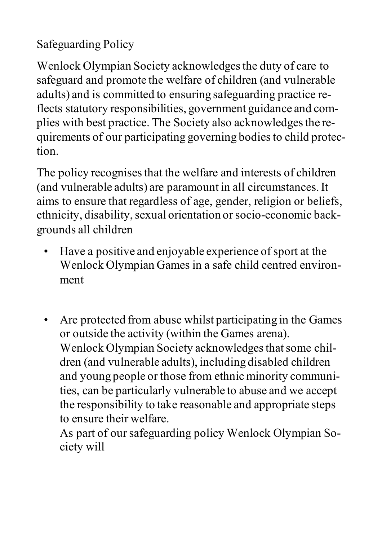## Safeguarding Policy

Wenlock Olympian Society acknowledges the duty of care to safeguard and promote the welfare of children (and vulnerable adults) and is committed to ensuring safeguarding practice reflects statutory responsibilities, government guidance and complies with best practice. The Society also acknowledges the requirements of our participating governing bodiesto child protection.

The policy recognises that the welfare and interests of children (and vulnerable adults) are paramount in all circumstances.It aims to ensure that regardless of age, gender, religion or beliefs, ethnicity, disability, sexual orientation or socio-economic backgrounds all children

- Have a positive and enjoyable experience of sport at the Wenlock Olympian Games in a safe child centred environment
- Are protected from abuse whilst participating in the Games or outside the activity (within the Games arena). Wenlock Olympian Society acknowledges that some children (and vulnerable adults), including disabled children and young people or those from ethnic minority communities, can be particularly vulnerable to abuse and we accept the responsibility to take reasonable and appropriate steps to ensure their welfare.

As part of our safeguarding policy Wenlock Olympian Society will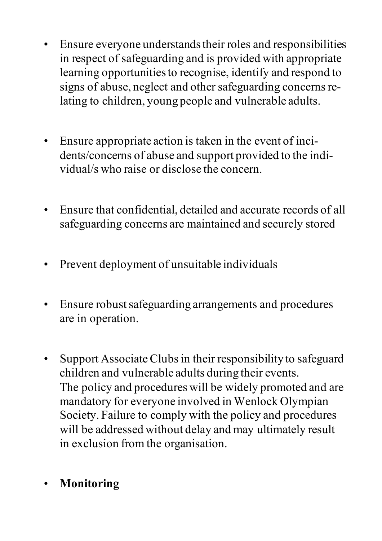- Ensure everyone understands their roles and responsibilities in respect of safeguarding and is provided with appropriate learning opportunitiesto recognise, identify and respond to signs of abuse, neglect and other safeguarding concerns relating to children, young people and vulnerable adults.
- Ensure appropriate action is taken in the event of incidents/concerns of abuse and support provided to the individual/s who raise or disclose the concern.
- Ensure that confidential, detailed and accurate records of all safeguarding concerns are maintained and securely stored
- Prevent deployment of unsuitable individuals
- Ensure robust safeguarding arrangements and procedures are in operation.
- Support Associate Clubs in their responsibility to safeguard children and vulnerable adults during their events. The policy and procedures will be widely promoted and are mandatory for everyone involved in Wenlock Olympian Society. Failure to comply with the policy and procedures will be addressed without delay and may ultimately result in exclusion from the organisation.
- **Monitoring**